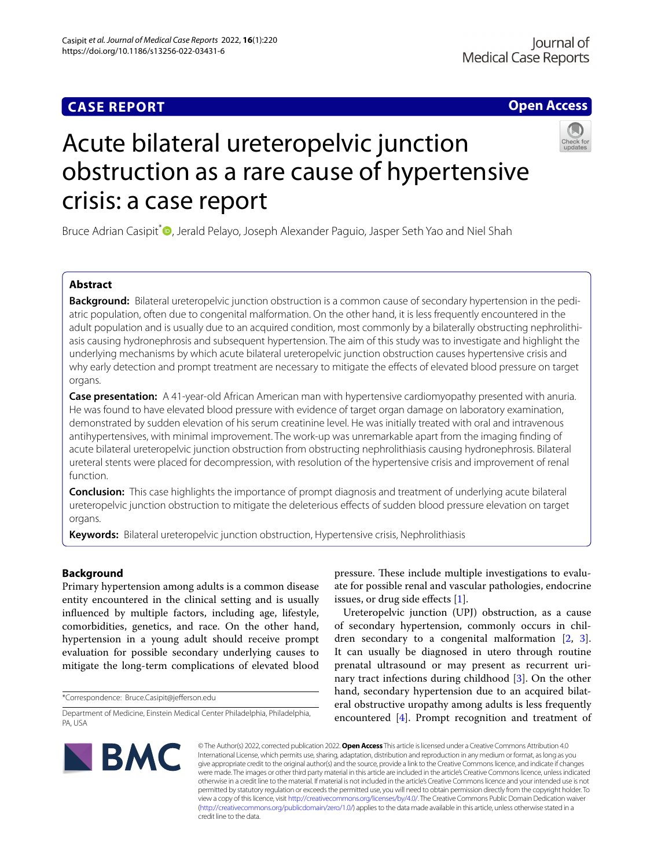# **CASE REPORT**

# **Open Access**



# Acute bilateral ureteropelvic junction obstruction as a rare cause of hypertensive crisis: a case report

Bruce Adrian Casipit<sup>[\\*](http://orcid.org/0000-0002-4103-2151)</sup> **D**, Jerald Pelayo, Joseph Alexander Paguio, Jasper Seth Yao and Niel Shah

# **Abstract**

**Background:** Bilateral ureteropelvic junction obstruction is a common cause of secondary hypertension in the pediatric population, often due to congenital malformation. On the other hand, it is less frequently encountered in the adult population and is usually due to an acquired condition, most commonly by a bilaterally obstructing nephrolithiasis causing hydronephrosis and subsequent hypertension. The aim of this study was to investigate and highlight the underlying mechanisms by which acute bilateral ureteropelvic junction obstruction causes hypertensive crisis and why early detection and prompt treatment are necessary to mitigate the effects of elevated blood pressure on target organs.

**Case presentation:** A 41-year-old African American man with hypertensive cardiomyopathy presented with anuria. He was found to have elevated blood pressure with evidence of target organ damage on laboratory examination, demonstrated by sudden elevation of his serum creatinine level. He was initially treated with oral and intravenous antihypertensives, with minimal improvement. The work-up was unremarkable apart from the imaging fnding of acute bilateral ureteropelvic junction obstruction from obstructing nephrolithiasis causing hydronephrosis. Bilateral ureteral stents were placed for decompression, with resolution of the hypertensive crisis and improvement of renal function.

**Conclusion:** This case highlights the importance of prompt diagnosis and treatment of underlying acute bilateral ureteropelvic junction obstruction to mitigate the deleterious efects of sudden blood pressure elevation on target organs.

**Keywords:** Bilateral ureteropelvic junction obstruction, Hypertensive crisis, Nephrolithiasis

## **Background**

Primary hypertension among adults is a common disease entity encountered in the clinical setting and is usually infuenced by multiple factors, including age, lifestyle, comorbidities, genetics, and race. On the other hand, hypertension in a young adult should receive prompt evaluation for possible secondary underlying causes to mitigate the long-term complications of elevated blood

\*Correspondence: Bruce.Casipit@jeferson.edu

pressure. These include multiple investigations to evaluate for possible renal and vascular pathologies, endocrine issues, or drug side efects [\[1](#page-4-0)].

Ureteropelvic junction (UPJ) obstruction, as a cause of secondary hypertension, commonly occurs in children secondary to a congenital malformation [\[2](#page-4-1), [3](#page-4-2)]. It can usually be diagnosed in utero through routine prenatal ultrasound or may present as recurrent urinary tract infections during childhood [[3](#page-4-2)]. On the other hand, secondary hypertension due to an acquired bilateral obstructive uropathy among adults is less frequently encountered [[4\]](#page-4-3). Prompt recognition and treatment of



© The Author(s) 2022, corrected publication 2022. **Open Access** This article is licensed under a Creative Commons Attribution 4.0 International License, which permits use, sharing, adaptation, distribution and reproduction in any medium or format, as long as you give appropriate credit to the original author(s) and the source, provide a link to the Creative Commons licence, and indicate if changes were made. The images or other third party material in this article are included in the article's Creative Commons licence, unless indicated otherwise in a credit line to the material. If material is not included in the article's Creative Commons licence and your intended use is not permitted by statutory regulation or exceeds the permitted use, you will need to obtain permission directly from the copyright holder. To view a copy of this licence, visit [http://creativecommons.org/licenses/by/4.0/.](http://creativecommons.org/licenses/by/4.0/) The Creative Commons Public Domain Dedication waiver [\(http://creativecommons.org/publicdomain/zero/1.0/\)](http://creativecommons.org/publicdomain/zero/1.0/) applies to the data made available in this article, unless otherwise stated in a credit line to the data.

Department of Medicine, Einstein Medical Center Philadelphia, Philadelphia, PA, USA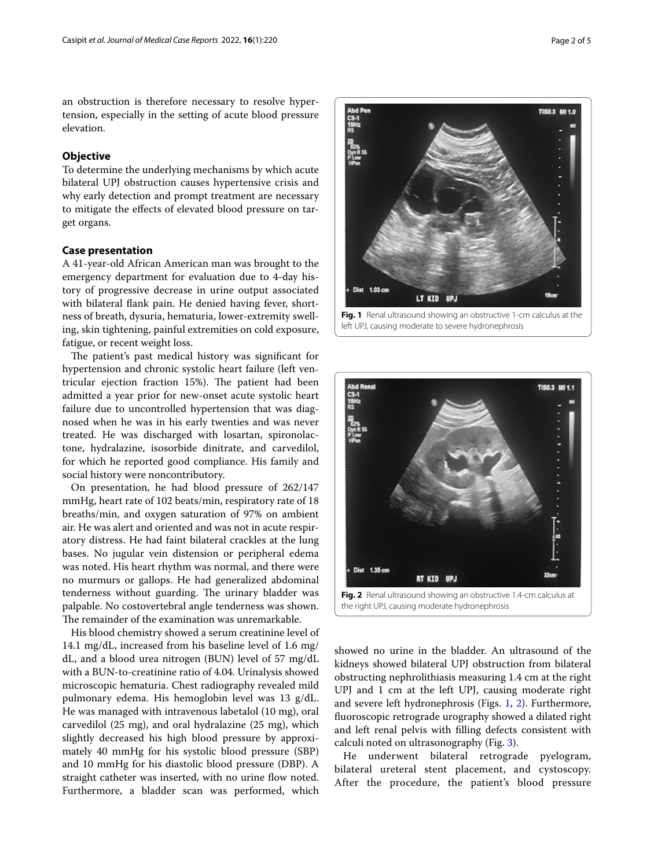an obstruction is therefore necessary to resolve hypertension, especially in the setting of acute blood pressure elevation.

## **Objective**

To determine the underlying mechanisms by which acute bilateral UPJ obstruction causes hypertensive crisis and why early detection and prompt treatment are necessary to mitigate the efects of elevated blood pressure on target organs.

## **Case presentation**

A 41-year-old African American man was brought to the emergency department for evaluation due to 4-day history of progressive decrease in urine output associated with bilateral fank pain. He denied having fever, shortness of breath, dysuria, hematuria, lower-extremity swelling, skin tightening, painful extremities on cold exposure, fatigue, or recent weight loss.

The patient's past medical history was significant for hypertension and chronic systolic heart failure (left ventricular ejection fraction 15%). The patient had been admitted a year prior for new-onset acute systolic heart failure due to uncontrolled hypertension that was diagnosed when he was in his early twenties and was never treated. He was discharged with losartan, spironolactone, hydralazine, isosorbide dinitrate, and carvedilol, for which he reported good compliance. His family and social history were noncontributory.

On presentation, he had blood pressure of 262/147 mmHg, heart rate of 102 beats/min, respiratory rate of 18 breaths/min, and oxygen saturation of 97% on ambient air. He was alert and oriented and was not in acute respiratory distress. He had faint bilateral crackles at the lung bases. No jugular vein distension or peripheral edema was noted. His heart rhythm was normal, and there were no murmurs or gallops. He had generalized abdominal tenderness without guarding. The urinary bladder was palpable. No costovertebral angle tenderness was shown. The remainder of the examination was unremarkable.

His blood chemistry showed a serum creatinine level of 14.1 mg/dL, increased from his baseline level of 1.6 mg/ dL, and a blood urea nitrogen (BUN) level of 57 mg/dL with a BUN-to-creatinine ratio of 4.04. Urinalysis showed microscopic hematuria. Chest radiography revealed mild pulmonary edema. His hemoglobin level was 13 g/dL. He was managed with intravenous labetalol (10 mg), oral carvedilol (25 mg), and oral hydralazine (25 mg), which slightly decreased his high blood pressure by approximately 40 mmHg for his systolic blood pressure (SBP) and 10 mmHg for his diastolic blood pressure (DBP). A straight catheter was inserted, with no urine flow noted. Furthermore, a bladder scan was performed, which



<span id="page-1-0"></span>

<span id="page-1-1"></span>showed no urine in the bladder. An ultrasound of the kidneys showed bilateral UPJ obstruction from bilateral obstructing nephrolithiasis measuring 1.4 cm at the right UPJ and 1 cm at the left UPJ, causing moderate right and severe left hydronephrosis (Figs. [1](#page-1-0), [2](#page-1-1)). Furthermore, fuoroscopic retrograde urography showed a dilated right and left renal pelvis with flling defects consistent with calculi noted on ultrasonography (Fig. [3](#page-2-0)).

He underwent bilateral retrograde pyelogram, bilateral ureteral stent placement, and cystoscopy. After the procedure, the patient's blood pressure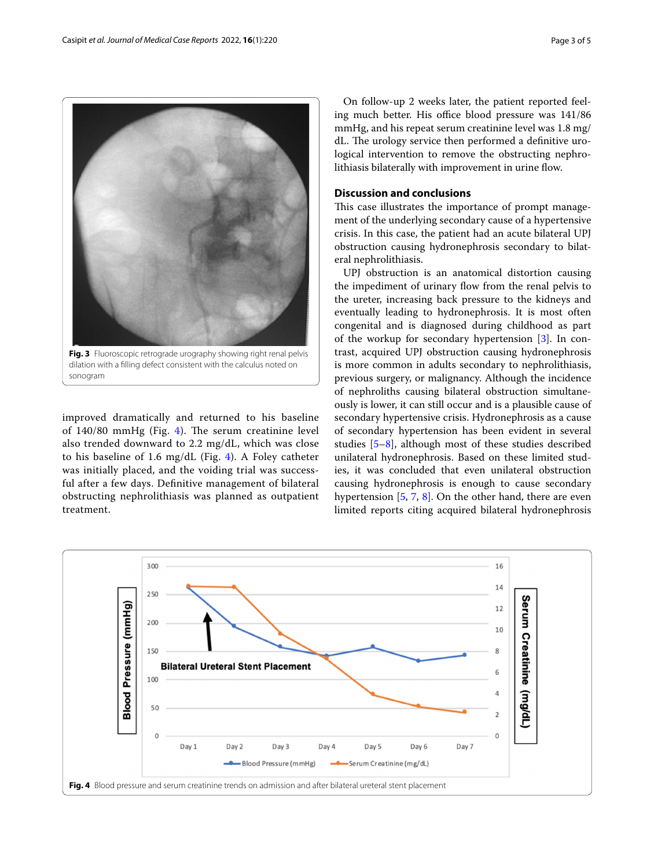

<span id="page-2-0"></span>dilation with a flling defect consistent with the calculus noted on sonogram

improved dramatically and returned to his baseline of  $140/80$  $140/80$  $140/80$  mmHg (Fig. 4). The serum creatinine level also trended downward to 2.2 mg/dL, which was close to his baseline of 1.6 mg/dL (Fig. [4](#page-2-1)). A Foley catheter was initially placed, and the voiding trial was successful after a few days. Defnitive management of bilateral obstructing nephrolithiasis was planned as outpatient treatment.

On follow-up 2 weeks later, the patient reported feeling much better. His office blood pressure was  $141/86$ mmHg, and his repeat serum creatinine level was 1.8 mg/ dL. The urology service then performed a definitive urological intervention to remove the obstructing nephrolithiasis bilaterally with improvement in urine fow.

## **Discussion and conclusions**

This case illustrates the importance of prompt management of the underlying secondary cause of a hypertensive crisis. In this case, the patient had an acute bilateral UPJ obstruction causing hydronephrosis secondary to bilateral nephrolithiasis.

UPJ obstruction is an anatomical distortion causing the impediment of urinary flow from the renal pelvis to the ureter, increasing back pressure to the kidneys and eventually leading to hydronephrosis. It is most often congenital and is diagnosed during childhood as part of the workup for secondary hypertension [[3\]](#page-4-2). In contrast, acquired UPJ obstruction causing hydronephrosis is more common in adults secondary to nephrolithiasis, previous surgery, or malignancy. Although the incidence of nephroliths causing bilateral obstruction simultaneously is lower, it can still occur and is a plausible cause of secondary hypertensive crisis. Hydronephrosis as a cause of secondary hypertension has been evident in several studies [\[5](#page-4-4)[–8\]](#page-4-5), although most of these studies described unilateral hydronephrosis. Based on these limited studies, it was concluded that even unilateral obstruction causing hydronephrosis is enough to cause secondary hypertension [[5](#page-4-4), [7](#page-4-6), [8](#page-4-5)]. On the other hand, there are even limited reports citing acquired bilateral hydronephrosis

<span id="page-2-1"></span>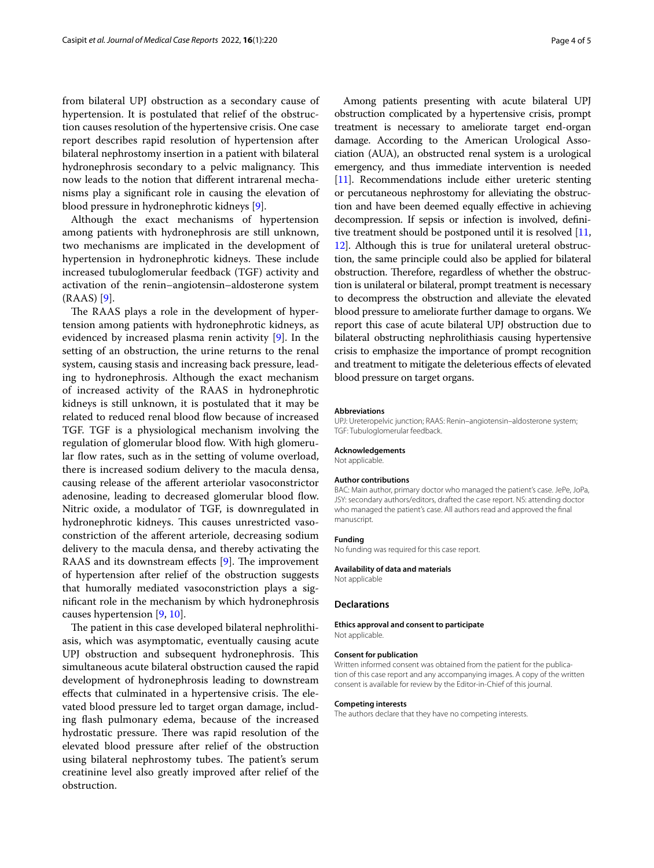from bilateral UPJ obstruction as a secondary cause of hypertension. It is postulated that relief of the obstruction causes resolution of the hypertensive crisis. One case report describes rapid resolution of hypertension after bilateral nephrostomy insertion in a patient with bilateral hydronephrosis secondary to a pelvic malignancy. This now leads to the notion that diferent intrarenal mechanisms play a signifcant role in causing the elevation of blood pressure in hydronephrotic kidneys [[9](#page-4-7)].

Although the exact mechanisms of hypertension among patients with hydronephrosis are still unknown, two mechanisms are implicated in the development of hypertension in hydronephrotic kidneys. These include increased tubuloglomerular feedback (TGF) activity and activation of the renin–angiotensin–aldosterone system (RAAS) [\[9](#page-4-7)].

The RAAS plays a role in the development of hypertension among patients with hydronephrotic kidneys, as evidenced by increased plasma renin activity [\[9](#page-4-7)]. In the setting of an obstruction, the urine returns to the renal system, causing stasis and increasing back pressure, leading to hydronephrosis. Although the exact mechanism of increased activity of the RAAS in hydronephrotic kidneys is still unknown, it is postulated that it may be related to reduced renal blood flow because of increased TGF. TGF is a physiological mechanism involving the regulation of glomerular blood flow. With high glomerular flow rates, such as in the setting of volume overload, there is increased sodium delivery to the macula densa, causing release of the aferent arteriolar vasoconstrictor adenosine, leading to decreased glomerular blood flow. Nitric oxide, a modulator of TGF, is downregulated in hydronephrotic kidneys. This causes unrestricted vasoconstriction of the aferent arteriole, decreasing sodium delivery to the macula densa, and thereby activating the RAAS and its downstream effects  $[9]$  $[9]$ . The improvement of hypertension after relief of the obstruction suggests that humorally mediated vasoconstriction plays a signifcant role in the mechanism by which hydronephrosis causes hypertension [[9,](#page-4-7) [10](#page-4-8)].

The patient in this case developed bilateral nephrolithiasis, which was asymptomatic, eventually causing acute UPJ obstruction and subsequent hydronephrosis. This simultaneous acute bilateral obstruction caused the rapid development of hydronephrosis leading to downstream effects that culminated in a hypertensive crisis. The elevated blood pressure led to target organ damage, including fash pulmonary edema, because of the increased hydrostatic pressure. There was rapid resolution of the elevated blood pressure after relief of the obstruction using bilateral nephrostomy tubes. The patient's serum creatinine level also greatly improved after relief of the obstruction.

Among patients presenting with acute bilateral UPJ obstruction complicated by a hypertensive crisis, prompt treatment is necessary to ameliorate target end-organ damage. According to the American Urological Association (AUA), an obstructed renal system is a urological emergency, and thus immediate intervention is needed [[11](#page-4-9)]. Recommendations include either ureteric stenting or percutaneous nephrostomy for alleviating the obstruction and have been deemed equally efective in achieving decompression. If sepsis or infection is involved, defnitive treatment should be postponed until it is resolved [[11](#page-4-9), [12](#page-4-10)]. Although this is true for unilateral ureteral obstruction, the same principle could also be applied for bilateral obstruction. Therefore, regardless of whether the obstruction is unilateral or bilateral, prompt treatment is necessary to decompress the obstruction and alleviate the elevated blood pressure to ameliorate further damage to organs. We report this case of acute bilateral UPJ obstruction due to bilateral obstructing nephrolithiasis causing hypertensive crisis to emphasize the importance of prompt recognition and treatment to mitigate the deleterious efects of elevated blood pressure on target organs.

#### **Abbreviations**

UPJ: Ureteropelvic junction; RAAS: Renin–angiotensin–aldosterone system; TGF: Tubuloglomerular feedback.

#### **Acknowledgements**

Not applicable.

#### **Author contributions**

BAC: Main author, primary doctor who managed the patient's case. JePe, JoPa, JSY: secondary authors/editors, drafted the case report. NS: attending doctor who managed the patient's case. All authors read and approved the fnal manuscript.

#### **Funding**

No funding was required for this case report.

## **Availability of data and materials**

Not applicable

## **Declarations**

## **Ethics approval and consent to participate**

Not applicable.

## **Consent for publication**

Written informed consent was obtained from the patient for the publication of this case report and any accompanying images. A copy of the written consent is available for review by the Editor-in-Chief of this journal.

#### **Competing interests**

The authors declare that they have no competing interests.